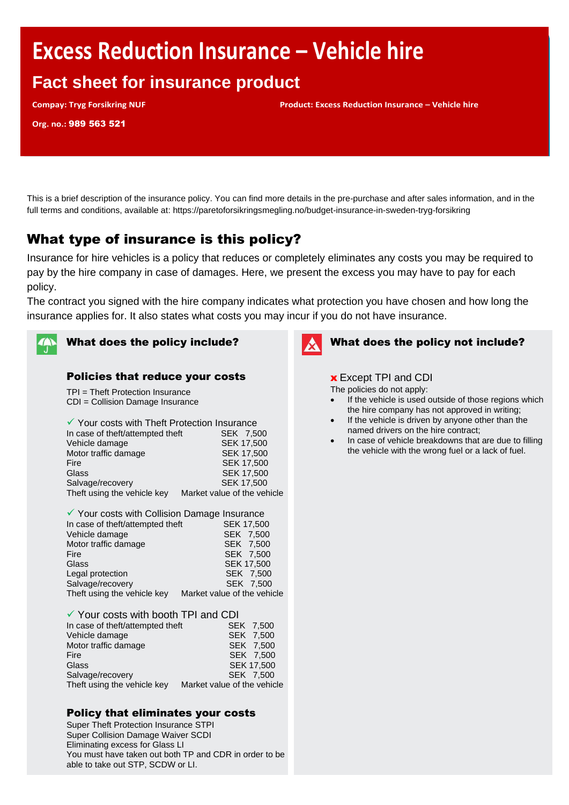# **Excess Reduction Insurance – Vehicle hire**

# **Fact sheet for insurance product**

**Compay: Tryg Forsikring NUF Product: Excess Reduction Insurance – Vehicle hire**

**Org. no.:** 989 563 521

This is a brief description of the insurance policy. You can find more details in the pre-purchase and after sales information, and in the full terms and conditions, available at: https://paretoforsikringsmegling.no/budget-insurance-in-sweden-tryg-forsikring

# What type of insurance is this policy?

Insurance for hire vehicles is a policy that reduces or completely eliminates any costs you may be required to pay by the hire company in case of damages. Here, we present the excess you may have to pay for each policy.

The contract you signed with the hire company indicates what protection you have chosen and how long the insurance applies for. It also states what costs you may incur if you do not have insurance.



# What does the policy include?

#### Policies that reduce your costs

TPI = Theft Protection Insurance CDI = Collision Damage Insurance

| ✔ Your costs with Theft Protection Insurance |                             |  |
|----------------------------------------------|-----------------------------|--|
| In case of theft/attempted theft             | SEK 7,500                   |  |
| Vehicle damage                               | SEK 17,500                  |  |
| Motor traffic damage                         | SEK 17,500                  |  |
| Fire                                         | <b>SEK 17,500</b>           |  |
| Glass                                        | <b>SEK 17,500</b>           |  |
| Salvage/recovery                             | <b>SEK 17,500</b>           |  |
| Theft using the vehicle key                  | Market value of the vehicle |  |
|                                              |                             |  |

| ✔ Your costs with Collision Damage Insurance |
|----------------------------------------------|
| <b>SEK 17,500</b>                            |
| SEK 7,500                                    |
| SEK 7,500                                    |
| SEK 7,500                                    |
| <b>SEK 17,500</b>                            |
| SEK 7,500                                    |
| SEK 7,500                                    |
| Market value of the vehicle                  |
|                                              |

| ✔ Your costs with booth TPI and CDI |                             |  |
|-------------------------------------|-----------------------------|--|
| In case of theft/attempted theft    | SEK 7,500                   |  |
| Vehicle damage                      | SEK 7,500                   |  |
| Motor traffic damage                | SEK 7,500                   |  |
| Fire                                | SEK 7,500                   |  |
| Glass                               | <b>SEK 17,500</b>           |  |
| Salvage/recovery                    | SEK 7.500                   |  |
| Theft using the vehicle key         | Market value of the vehicle |  |

#### Policy that eliminates your costs

Super Theft Protection Insurance STPI Super Collision Damage Waiver SCDI Eliminating excess for Glass LI You must have taken out both TP and CDR in order to be able to take out STP, SCDW or LI.



# What does the policy not include?

#### **x** Except TPI and CDI

The policies do not apply:

- If the vehicle is used outside of those regions which the hire company has not approved in writing;
- If the vehicle is driven by anyone other than the named drivers on the hire contract;
- In case of vehicle breakdowns that are due to filling the vehicle with the wrong fuel or a lack of fuel.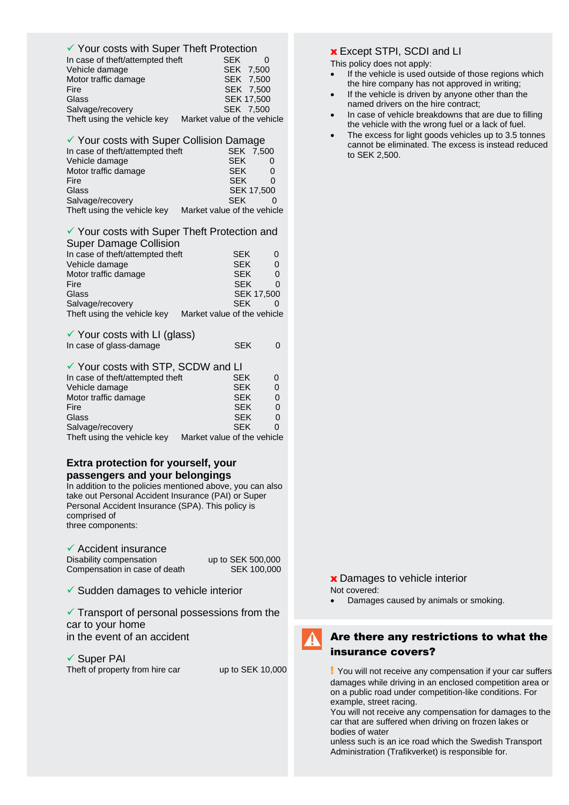#### ✓ Your costs with Super Theft Protection

| In case of theft/attempted theft | <b>SFK</b>                  |
|----------------------------------|-----------------------------|
| Vehicle damage                   | SEK 7.500                   |
| Motor traffic damage             | SEK 7,500                   |
| Fire                             | SEK 7.500                   |
| Glass                            | <b>SEK 17.500</b>           |
| Salvage/recovery                 | SEK 7.500                   |
| Theft using the vehicle key      | Market value of the vehicle |

| ✔ Your costs with Super Collision Damage |                             |  |
|------------------------------------------|-----------------------------|--|
| In case of theft/attempted theft         | SEK 7,500                   |  |
| Vehicle damage                           | <b>SEK</b>                  |  |
| Motor traffic damage                     | <b>SEK</b>                  |  |
| Fire                                     | <b>SEK</b>                  |  |
| Glass                                    | <b>SEK 17,500</b>           |  |
| Salvage/recovery                         | <b>SEK</b>                  |  |
| Theft using the vehicle key              | Market value of the vehicle |  |

#### ✓ Your costs with Super Theft Protection and Super Damage Collision

| <b>OUPUL DAITING OUTSION</b>     |                             |                   |
|----------------------------------|-----------------------------|-------------------|
| In case of theft/attempted theft | <b>SEK</b>                  | 0                 |
| Vehicle damage                   | <b>SEK</b>                  | 0                 |
| Motor traffic damage             | <b>SEK</b>                  | 0                 |
| Fire                             | <b>SEK</b>                  | O                 |
| Glass                            |                             | <b>SEK 17,500</b> |
| Salvage/recovery                 | <b>SFK</b>                  |                   |
| Theft using the vehicle key      | Market value of the vehicle |                   |
|                                  |                             |                   |

| $\checkmark$ Your costs with LI (glass) |            |  |
|-----------------------------------------|------------|--|
| In case of glass-damage                 | <b>SEK</b> |  |

## ✓ Your costs with STP, SCDW and LI

| In case of theft/attempted theft | <b>SEK</b>                  | $\Omega$ |
|----------------------------------|-----------------------------|----------|
| Vehicle damage                   | <b>SEK</b>                  | 0        |
| Motor traffic damage             | <b>SEK</b>                  |          |
| Fire                             | <b>SEK</b>                  |          |
| Glass                            | <b>SEK</b>                  |          |
| Salvage/recovery                 | <b>SFK</b>                  |          |
| Theft using the vehicle key      | Market value of the vehicle |          |

#### **Extra protection for yourself, your passengers and your belongings**

In addition to the policies mentioned above, you can also take out Personal Accident Insurance (PAI) or Super Personal Accident Insurance (SPA). This policy is comprised of three components:

✓ Accident insurance Disability compensation up to SEK 500,000<br>Compensation in case of death SEK 100,000 Compensation in case of death

 $\checkmark$  Sudden damages to vehicle interior

 $\checkmark$  Transport of personal possessions from the car to your home in the event of an accident

✓ Super PAI Theft of property from hire car up to SEK 10,000

## x Except STPI, SCDI and LI

- This policy does not apply:
	- If the vehicle is used outside of those regions which the hire company has not approved in writing;
- If the vehicle is driven by anyone other than the named drivers on the hire contract;
- In case of vehicle breakdowns that are due to filling the vehicle with the wrong fuel or a lack of fuel.
- The excess for light goods vehicles up to 3.5 tonnes cannot be eliminated. The excess is instead reduced to SEK 2,500.

**x** Damages to vehicle interior Not covered:

• Damages caused by animals or smoking.

# Are there any restrictions to what the insurance covers?

! You will not receive any compensation if your car suffers damages while driving in an enclosed competition area or on a public road under competition-like conditions. For example, street racing.

You will not receive any compensation for damages to the car that are suffered when driving on frozen lakes or bodies of water

unless such is an ice road which the Swedish Transport Administration (Trafikverket) is responsible for.